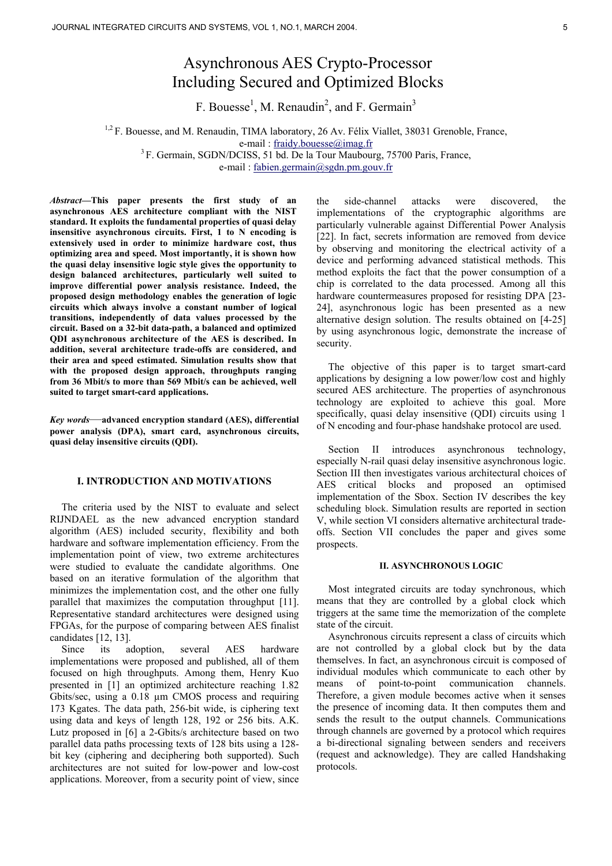# Asynchronous AES Crypto-Processor Including Secured and Optimized Blocks

F. Bouesse<sup>1</sup>, M. Renaudin<sup>2</sup>, and F. Germain<sup>3</sup>

<sup>1,2</sup> F. Bouesse, and M. Renaudin, TIMA laboratory, 26 Av. Félix Viallet, 38031 Grenoble, France, e-mail : fraidy.bouesse@imag.fr<br><sup>3</sup> F. Germain, SGDN/DCISS, 51 bd. De la Tour Maubourg, 75700 Paris, France,

e-mail : fabien.germain@sgdn.pm.gouv.fr

*Abstract—***This paper presents the first study of an asynchronous AES architecture compliant with the NIST standard. It exploits the fundamental properties of quasi delay insensitive asynchronous circuits. First, 1 to N encoding is extensively used in order to minimize hardware cost, thus optimizing area and speed. Most importantly, it is shown how the quasi delay insensitive logic style gives the opportunity to design balanced architectures, particularly well suited to improve differential power analysis resistance. Indeed, the proposed design methodology enables the generation of logic circuits which always involve a constant number of logical transitions, independently of data values processed by the circuit. Based on a 32-bit data-path, a balanced and optimized QDI asynchronous architecture of the AES is described. In addition, several architecture trade-offs are considered, and their area and speed estimated. Simulation results show that with the proposed design approach, throughputs ranging from 36 Mbit/s to more than 569 Mbit/s can be achieved, well suited to target smart-card applications.** 

*Key words*—**advanced encryption standard (AES), differential power analysis (DPA), smart card, asynchronous circuits, quasi delay insensitive circuits (QDI).** 

## **I. INTRODUCTION AND MOTIVATIONS**

The criteria used by the NIST to evaluate and select RIJNDAEL as the new advanced encryption standard algorithm (AES) included security, flexibility and both hardware and software implementation efficiency. From the implementation point of view, two extreme architectures were studied to evaluate the candidate algorithms. One based on an iterative formulation of the algorithm that minimizes the implementation cost, and the other one fully parallel that maximizes the computation throughput [11]. Representative standard architectures were designed using FPGAs, for the purpose of comparing between AES finalist candidates [12, 13].

Since its adoption, several AES hardware implementations were proposed and published, all of them focused on high throughputs. Among them, Henry Kuo presented in [1] an optimized architecture reaching 1.82 Gbits/sec, using a 0.18 µm CMOS process and requiring 173 Kgates. The data path, 256-bit wide, is ciphering text using data and keys of length 128, 192 or 256 bits. A.K. Lutz proposed in [6] a 2-Gbits/s architecture based on two parallel data paths processing texts of 128 bits using a 128 bit key (ciphering and deciphering both supported). Such architectures are not suited for low-power and low-cost applications. Moreover, from a security point of view, since

the side-channel attacks were discovered, the implementations of the cryptographic algorithms are particularly vulnerable against Differential Power Analysis [22]. In fact, secrets information are removed from device by observing and monitoring the electrical activity of a device and performing advanced statistical methods. This method exploits the fact that the power consumption of a chip is correlated to the data processed. Among all this hardware countermeasures proposed for resisting DPA [23- 24], asynchronous logic has been presented as a new alternative design solution. The results obtained on [4-25] by using asynchronous logic, demonstrate the increase of security.

The objective of this paper is to target smart-card applications by designing a low power/low cost and highly secured AES architecture. The properties of asynchronous technology are exploited to achieve this goal. More specifically, quasi delay insensitive (QDI) circuits using 1 of N encoding and four-phase handshake protocol are used.

Section II introduces asynchronous technology, especially N-rail quasi delay insensitive asynchronous logic. Section III then investigates various architectural choices of AES critical blocks and proposed an optimised implementation of the Sbox. Section IV describes the key scheduling block. Simulation results are reported in section V, while section VI considers alternative architectural tradeoffs. Section VII concludes the paper and gives some prospects.

#### **II. ASYNCHRONOUS LOGIC**

Most integrated circuits are today synchronous, which means that they are controlled by a global clock which triggers at the same time the memorization of the complete state of the circuit.

Asynchronous circuits represent a class of circuits which are not controlled by a global clock but by the data themselves. In fact, an asynchronous circuit is composed of individual modules which communicate to each other by means of point-to-point communication channels. Therefore, a given module becomes active when it senses the presence of incoming data. It then computes them and sends the result to the output channels. Communications through channels are governed by a protocol which requires a bi-directional signaling between senders and receivers (request and acknowledge). They are called Handshaking protocols.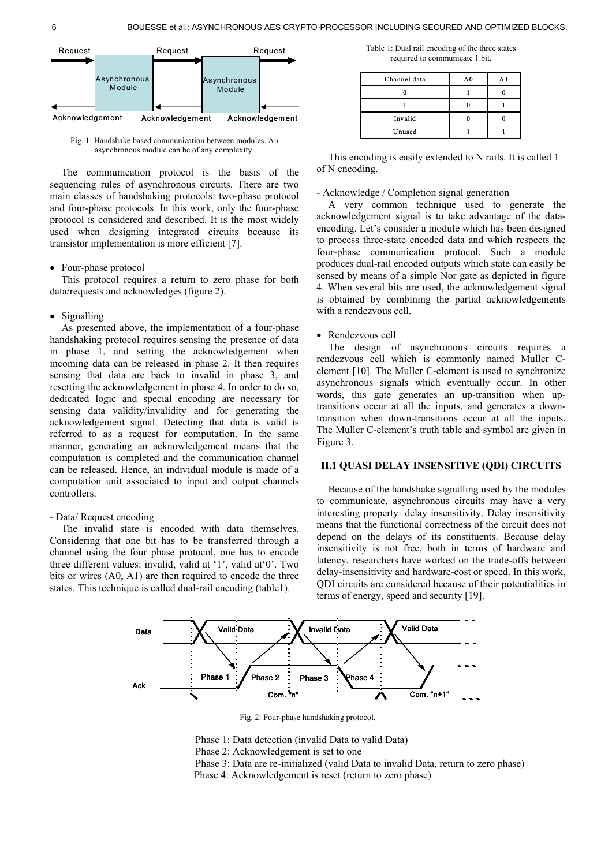

Fig. 1: Handshake based communication between modules. An asynchronous module can be of any complexity.

The communication protocol is the basis of the sequencing rules of asynchronous circuits. There are two main classes of handshaking protocols: two-phase protocol and four-phase protocols. In this work, only the four-phase protocol is considered and described. It is the most widely used when designing integrated circuits because its transistor implementation is more efficient [7].

• Four-phase protocol

This protocol requires a return to zero phase for both data/requests and acknowledges (figure 2).

#### • Signalling

As presented above, the implementation of a four-phase handshaking protocol requires sensing the presence of data in phase 1, and setting the acknowledgement when incoming data can be released in phase 2. It then requires sensing that data are back to invalid in phase 3, and resetting the acknowledgement in phase 4. In order to do so, dedicated logic and special encoding are necessary for sensing data validity/invalidity and for generating the acknowledgement signal. Detecting that data is valid is referred to as a request for computation. In the same manner, generating an acknowledgement means that the computation is completed and the communication channel can be released. Hence, an individual module is made of a computation unit associated to input and output channels controllers.

## - Data/ Request encoding

The invalid state is encoded with data themselves. Considering that one bit has to be transferred through a channel using the four phase protocol, one has to encode three different values: invalid, valid at '1', valid at'0'. Two bits or wires (A0, A1) are then required to encode the three states. This technique is called dual-rail encoding (table1).

Table 1: Dual rail encoding of the three states required to communicate 1 bit.

| Channel data | A <sub>0</sub> | A1 |
|--------------|----------------|----|
|              |                |    |
|              |                |    |
| Invalid      |                |    |
| Unused       |                |    |

This encoding is easily extended to N rails. It is called 1 of N encoding.

### - Acknowledge / Completion signal generation

A very common technique used to generate the acknowledgement signal is to take advantage of the dataencoding. Let's consider a module which has been designed to process three-state encoded data and which respects the four-phase communication protocol. Such a module produces dual-rail encoded outputs which state can easily be sensed by means of a simple Nor gate as depicted in figure 4. When several bits are used, the acknowledgement signal is obtained by combining the partial acknowledgements with a rendezvous cell.

## • Rendezvous cell

The design of asynchronous circuits requires a rendezvous cell which is commonly named Muller Celement [10]. The Muller C-element is used to synchronize asynchronous signals which eventually occur. In other words, this gate generates an up-transition when uptransitions occur at all the inputs, and generates a downtransition when down-transitions occur at all the inputs. The Muller C-element's truth table and symbol are given in Figure 3.

# **II.1 QUASI DELAY INSENSITIVE (QDI) CIRCUITS**

Because of the handshake signalling used by the modules to communicate, asynchronous circuits may have a very interesting property: delay insensitivity. Delay insensitivity means that the functional correctness of the circuit does not depend on the delays of its constituents. Because delay insensitivity is not free, both in terms of hardware and latency, researchers have worked on the trade-offs between delay-insensitivity and hardware-cost or speed. In this work, QDI circuits are considered because of their potentialities in terms of energy, speed and security [19].



Fig. 2: Four-phase handshaking protocol.

Phase 1: Data detection (invalid Data to valid Data)

- Phase 2: Acknowledgement is set to one
- Phase 3: Data are re-initialized (valid Data to invalid Data, return to zero phase)
- Phase 4: Acknowledgement is reset (return to zero phase)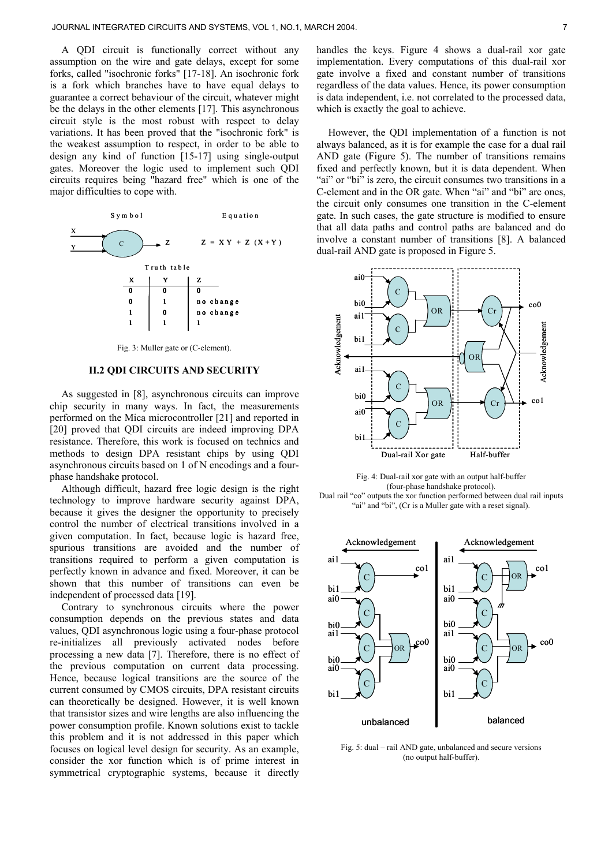A QDI circuit is functionally correct without any assumption on the wire and gate delays, except for some forks, called "isochronic forks" [17-18]. An isochronic fork is a fork which branches have to have equal delays to guarantee a correct behaviour of the circuit, whatever might be the delays in the other elements [17]. This asynchronous circuit style is the most robust with respect to delay variations. It has been proved that the "isochronic fork" is the weakest assumption to respect, in order to be able to design any kind of function [15-17] using single-output gates. Moreover the logic used to implement such QDI circuits requires being "hazard free" which is one of the major difficulties to cope with.



# **II.2 QDI CIRCUITS AND SECURITY**

As suggested in [8], asynchronous circuits can improve chip security in many ways. In fact, the measurements performed on the Mica microcontroller [21] and reported in [20] proved that QDI circuits are indeed improving DPA resistance. Therefore, this work is focused on technics and methods to design DPA resistant chips by using QDI asynchronous circuits based on 1 of N encodings and a fourphase handshake protocol.

Although difficult, hazard free logic design is the right technology to improve hardware security against DPA, because it gives the designer the opportunity to precisely control the number of electrical transitions involved in a given computation. In fact, because logic is hazard free, spurious transitions are avoided and the number of transitions required to perform a given computation is perfectly known in advance and fixed. Moreover, it can be shown that this number of transitions can even be independent of processed data [19].

Contrary to synchronous circuits where the power consumption depends on the previous states and data values, QDI asynchronous logic using a four-phase protocol re-initializes all previously activated nodes before processing a new data [7]. Therefore, there is no effect of the previous computation on current data processing. Hence, because logical transitions are the source of the current consumed by CMOS circuits, DPA resistant circuits can theoretically be designed. However, it is well known that transistor sizes and wire lengths are also influencing the power consumption profile. Known solutions exist to tackle this problem and it is not addressed in this paper which focuses on logical level design for security. As an example, consider the xor function which is of prime interest in symmetrical cryptographic systems, because it directly

handles the keys. Figure 4 shows a dual-rail xor gate implementation. Every computations of this dual-rail xor gate involve a fixed and constant number of transitions regardless of the data values. Hence, its power consumption is data independent, i.e. not correlated to the processed data, which is exactly the goal to achieve.

However, the QDI implementation of a function is not always balanced, as it is for example the case for a dual rail AND gate (Figure 5). The number of transitions remains fixed and perfectly known, but it is data dependent. When "ai" or "bi" is zero, the circuit consumes two transitions in a C-element and in the OR gate. When "ai" and "bi" are ones, the circuit only consumes one transition in the C-element gate. In such cases, the gate structure is modified to ensure that all data paths and control paths are balanced and do involve a constant number of transitions [8]. A balanced dual-rail AND gate is proposed in Figure 5.



Fig. 4: Dual-rail xor gate with an output half-buffer (four-phase handshake protocol). Dual rail "co" outputs the xor function performed between dual rail inputs "ai" and "bi", (Cr is a Muller gate with a reset signal).



Fig. 5: dual – rail AND gate, unbalanced and secure versions (no output half-buffer).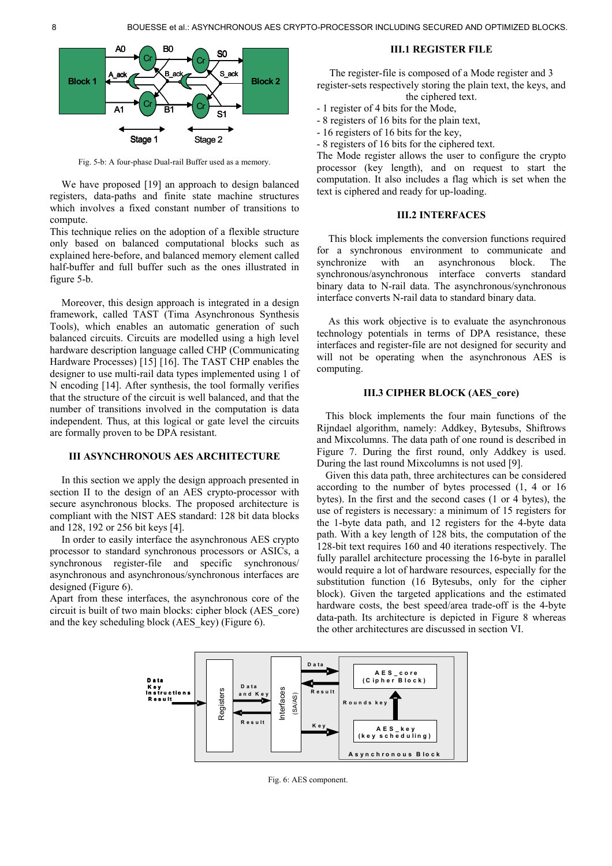

Fig. 5-b: A four-phase Dual-rail Buffer used as a memory.

We have proposed [19] an approach to design balanced registers, data-paths and finite state machine structures which involves a fixed constant number of transitions to compute.

This technique relies on the adoption of a flexible structure only based on balanced computational blocks such as explained here-before, and balanced memory element called half-buffer and full buffer such as the ones illustrated in figure 5-b.

Moreover, this design approach is integrated in a design framework, called TAST (Tima Asynchronous Synthesis Tools), which enables an automatic generation of such balanced circuits. Circuits are modelled using a high level hardware description language called CHP (Communicating Hardware Processes) [15] [16]. The TAST CHP enables the designer to use multi-rail data types implemented using 1 of N encoding [14]. After synthesis, the tool formally verifies that the structure of the circuit is well balanced, and that the number of transitions involved in the computation is data independent. Thus, at this logical or gate level the circuits are formally proven to be DPA resistant.

## **III ASYNCHRONOUS AES ARCHITECTURE**

In this section we apply the design approach presented in section II to the design of an AES crypto-processor with secure asynchronous blocks. The proposed architecture is compliant with the NIST AES standard: 128 bit data blocks and 128, 192 or 256 bit keys [4].

In order to easily interface the asynchronous AES crypto processor to standard synchronous processors or ASICs, a synchronous register-file and specific synchronous/ asynchronous and asynchronous/synchronous interfaces are designed (Figure 6).

Apart from these interfaces, the asynchronous core of the circuit is built of two main blocks: cipher block (AES\_core) and the key scheduling block (AES\_key) (Figure 6).

## **III.1 REGISTER FILE**

The register-file is composed of a Mode register and 3 register-sets respectively storing the plain text, the keys, and the ciphered text.

- 1 register of 4 bits for the Mode,
- 8 registers of 16 bits for the plain text,
- 16 registers of 16 bits for the key,
- 8 registers of 16 bits for the ciphered text.

The Mode register allows the user to configure the crypto processor (key length), and on request to start the computation. It also includes a flag which is set when the text is ciphered and ready for up-loading.

## **III.2 INTERFACES**

This block implements the conversion functions required for a synchronous environment to communicate and synchronize with an asynchronous block. The synchronous/asynchronous interface converts standard binary data to N-rail data. The asynchronous/synchronous interface converts N-rail data to standard binary data.

As this work objective is to evaluate the asynchronous technology potentials in terms of DPA resistance, these interfaces and register-file are not designed for security and will not be operating when the asynchronous AES is computing.

## **III.3 CIPHER BLOCK (AES\_core)**

This block implements the four main functions of the Rijndael algorithm, namely: Addkey, Bytesubs, Shiftrows and Mixcolumns. The data path of one round is described in Figure 7. During the first round, only Addkey is used. During the last round Mixcolumns is not used [9].

Given this data path, three architectures can be considered according to the number of bytes processed (1, 4 or 16 bytes). In the first and the second cases (1 or 4 bytes), the use of registers is necessary: a minimum of 15 registers for the 1-byte data path, and 12 registers for the 4-byte data path. With a key length of 128 bits, the computation of the 128-bit text requires 160 and 40 iterations respectively. The fully parallel architecture processing the 16-byte in parallel would require a lot of hardware resources, especially for the substitution function (16 Bytesubs, only for the cipher block). Given the targeted applications and the estimated hardware costs, the best speed/area trade-off is the 4-byte data-path. Its architecture is depicted in Figure 8 whereas the other architectures are discussed in section VI.



Fig. 6: AES component.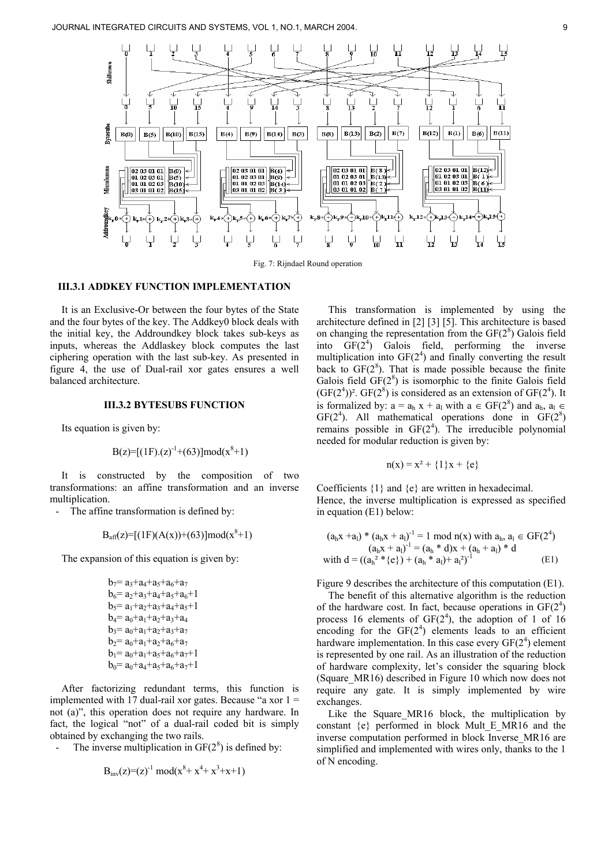

Fig. 7: Rijndael Round operation

# **III.3.1 ADDKEY FUNCTION IMPLEMENTATION**

It is an Exclusive-Or between the four bytes of the State and the four bytes of the key. The Addkey0 block deals with the initial key, the Addroundkey block takes sub-keys as inputs, whereas the Addlaskey block computes the last ciphering operation with the last sub-key. As presented in figure 4, the use of Dual-rail xor gates ensures a well balanced architecture.

## **III.3.2 BYTESUBS FUNCTION**

Its equation is given by:

$$
B(z)=[(1F).(z)^{-1}+(63)]mod(x^8+1)
$$

It is constructed by the composition of two transformations: an affine transformation and an inverse multiplication.

- The affine transformation is defined by:

$$
B_{\text{aff}}(z) = [(1F)(A(x))+(63)] \text{mod}(x^8+1)
$$

The expansion of this equation is given by:

| $b_7$ = a <sub>3</sub> +a <sub>4</sub> +a <sub>5</sub> +a <sub>6</sub> +a <sub>7</sub>    |
|-------------------------------------------------------------------------------------------|
| $b_6$ = $a_2$ + $a_3$ + $a_4$ + $a_5$ + $a_6$ + $1$                                       |
| $b_5$ = $a_1$ + $a_2$ + $a_3$ + $a_4$ + $a_5$ +1                                          |
| $b_4$ = $a_0$ + $a_1$ + $a_2$ + $a_3$ + $a_4$                                             |
| $b_3$ = $a_0$ + $a_1$ + $a_2$ + $a_3$ + $a_7$                                             |
| $b_2$ = a <sub>0</sub> +a <sub>1</sub> +a <sub>2</sub> +a <sub>6</sub> +a <sub>7</sub>    |
| $b_1 = a_0 + a_1 + a_5 + a_6 + a_7 + 1$                                                   |
| $b_0$ = a <sub>0</sub> +a <sub>4</sub> +a <sub>5</sub> +a <sub>6</sub> +a <sub>7</sub> +1 |

After factorizing redundant terms, this function is implemented with 17 dual-rail xor gates. Because "a xor  $1 =$ not (a)", this operation does not require any hardware. In fact, the logical "not" of a dual-rail coded bit is simply obtained by exchanging the two rails.

- The inverse multiplication in  $GF(2^8)$  is defined by:

$$
B_{inv}(z)=(z)^{-1} mod(x^8+x^4+x^3+x+1)
$$

This transformation is implemented by using the architecture defined in [2] [3] [5]. This architecture is based on changing the representation from the  $GF(2<sup>8</sup>)$  Galois field into  $GF(2<sup>4</sup>)$  Galois field, performing the inverse multiplication into  $GF(2<sup>4</sup>)$  and finally converting the result back to  $GF(2<sup>8</sup>)$ . That is made possible because the finite Galois field  $GF(2^8)$  is isomorphic to the finite Galois field  $(GF(2<sup>4</sup>))$ <sup>2</sup>.  $GF(2<sup>8</sup>)$  is considered as an extension of  $GF(2<sup>4</sup>)$ . It is formalized by:  $a = a_h x + a_l$  with  $a \in GF(2^8)$  and  $a_h$ ,  $a_l \in$  $GF(2<sup>4</sup>)$ . All mathematical operations done in  $GF(2<sup>8</sup>)$ remains possible in  $GF(2<sup>4</sup>)$ . The irreducible polynomial needed for modular reduction is given by:

$$
n(x) = x^2 + \{1\}x + \{e\}
$$

Coefficients {1} and {e} are written in hexadecimal. Hence, the inverse multiplication is expressed as specified in equation (E1) below:

$$
\begin{array}{l} (a_h x + a_l)^* \left(a_h x + a_l\right)^{-1} = 1 \, \, \text{mod} \, \, n(x) \, \, \text{with} \, \, a_h, \, a_l \in \mathrm{GF}(2^4) \\ \qquad \qquad (a_h x + a_l)^{-1} = \left(a_h * d\right) x + \left(a_h + a_l\right) * d \\ \qquad \qquad \text{with} \, \, d = \left(\left(a_h{}^2 * \{e\}\right) + \left(a_h * a_l\right) + a_l{}^2\right)^{-1} \end{array} \qquad \qquad \text{(E1)}
$$

Figure 9 describes the architecture of this computation (E1).

The benefit of this alternative algorithm is the reduction of the hardware cost. In fact, because operations in  $GF(2<sup>4</sup>)$ process 16 elements of  $GF(2<sup>4</sup>)$ , the adoption of 1 of 16 encoding for the  $GF(2<sup>4</sup>)$  elements leads to an efficient hardware implementation. In this case every  $GF(2<sup>4</sup>)$  element is represented by one rail. As an illustration of the reduction of hardware complexity, let's consider the squaring block (Square\_MR16) described in Figure 10 which now does not require any gate. It is simply implemented by wire exchanges.

Like the Square\_MR16 block, the multiplication by constant  $\{e\}$  performed in block Mult E MR16 and the inverse computation performed in block Inverse\_MR16 are simplified and implemented with wires only, thanks to the 1 of N encoding.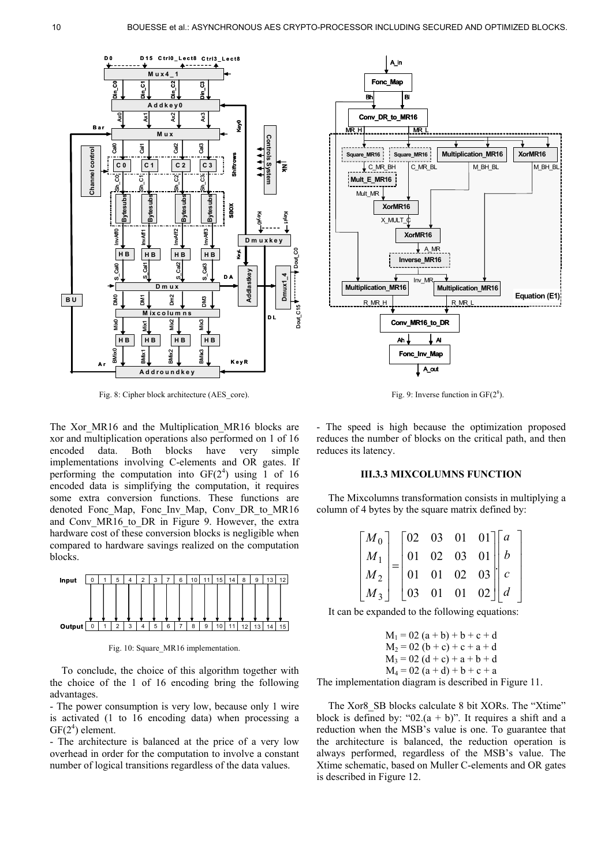

Fig. 8: Cipher block architecture (AES\_core).

The Xor MR16 and the Multiplication MR16 blocks are xor and multiplication operations also performed on 1 of 16 encoded data. Both blocks have very simple implementations involving C-elements and OR gates. If performing the computation into  $GF(2<sup>4</sup>)$  using 1 of 16 encoded data is simplifying the computation, it requires some extra conversion functions. These functions are denoted Fonc\_Map, Fonc\_Inv\_Map, Conv\_DR\_to\_MR16 and Conv MR16 to DR in Figure 9. However, the extra hardware cost of these conversion blocks is negligible when compared to hardware savings realized on the computation blocks.



Fig. 10: Square MR16 implementation.

To conclude, the choice of this algorithm together with the choice of the 1 of 16 encoding bring the following advantages.

- The power consumption is very low, because only 1 wire is activated (1 to 16 encoding data) when processing a  $GF(2<sup>4</sup>)$  element.

- The architecture is balanced at the price of a very low overhead in order for the computation to involve a constant number of logical transitions regardless of the data values.



Fig. 9: Inverse function in  $GF(2<sup>8</sup>)$ .

- The speed is high because the optimization proposed reduces the number of blocks on the critical path, and then reduces its latency.

### **III.3.3 MIXCOLUMNS FUNCTION**

The Mixcolumns transformation consists in multiplying a column of 4 bytes by the square matrix defined by:

| $\begin{bmatrix} M_0\\ M_1\\ M_2\\ M_3 \end{bmatrix} = \begin{bmatrix} 02 & 03 & 01 & 01\\ 01 & 02 & 03 & 01\\ 01 & 01 & 02 & 03\\ 03 & 01 & 01 & 02 \end{bmatrix} \begin{bmatrix} a\\ b\\ c\\ d \end{bmatrix}$ |  |  |  |
|-----------------------------------------------------------------------------------------------------------------------------------------------------------------------------------------------------------------|--|--|--|
|                                                                                                                                                                                                                 |  |  |  |
|                                                                                                                                                                                                                 |  |  |  |

 $\overline{\phantom{a}}$  $\overline{\phantom{a}}$  $\overline{\phantom{a}}$  $\overline{\phantom{a}}$ 

 $\overline{\phantom{a}}$ 

 $\rfloor$ 

It can be expanded to the following equations:

$$
M_1 = 02 (a + b) + b + c + d
$$
  
\n
$$
M_2 = 02 (b + c) + c + a + d
$$
  
\n
$$
M_3 = 02 (d + c) + a + b + d
$$
  
\n
$$
M_4 = 02 (a + d) + b + c + a
$$

The implementation diagram is described in Figure 11.

The Xor8 SB blocks calculate 8 bit XORs. The "Xtime" block is defined by: " $02.(a + b)$ ". It requires a shift and a reduction when the MSB's value is one. To guarantee that the architecture is balanced, the reduction operation is always performed, regardless of the MSB's value. The Xtime schematic, based on Muller C-elements and OR gates is described in Figure 12.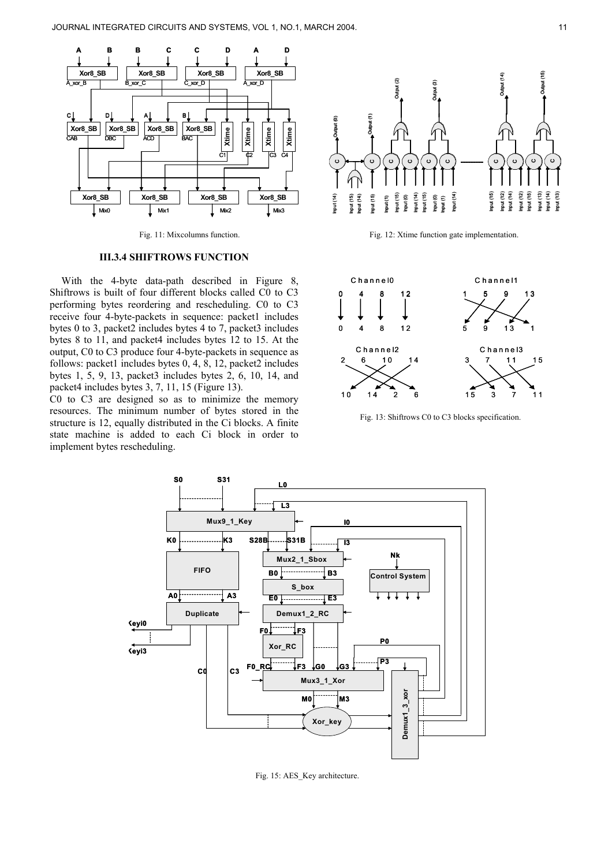

## **III.3.4 SHIFTROWS FUNCTION**

With the 4-byte data-path described in Figure 8, Shiftrows is built of four different blocks called C0 to C3 performing bytes reordering and rescheduling. C0 to C3 receive four 4-byte-packets in sequence: packet1 includes bytes 0 to 3, packet2 includes bytes 4 to 7, packet3 includes bytes 8 to 11, and packet4 includes bytes 12 to 15. At the output, C0 to C3 produce four 4-byte-packets in sequence as follows: packet1 includes bytes 0, 4, 8, 12, packet2 includes bytes 1, 5, 9, 13, packet3 includes bytes 2, 6, 10, 14, and packet4 includes bytes 3, 7, 11, 15 (Figure 13).

C0 to C3 are designed so as to minimize the memory resources. The minimum number of bytes stored in the structure is 12, equally distributed in the Ci blocks. A finite state machine is added to each Ci block in order to implement bytes rescheduling.



Fig. 11: Mixcolumns function. Fig. 12: Xtime function gate implementation.



Fig. 13: Shiftrows C0 to C3 blocks specification.



Fig. 15: AES\_Key architecture.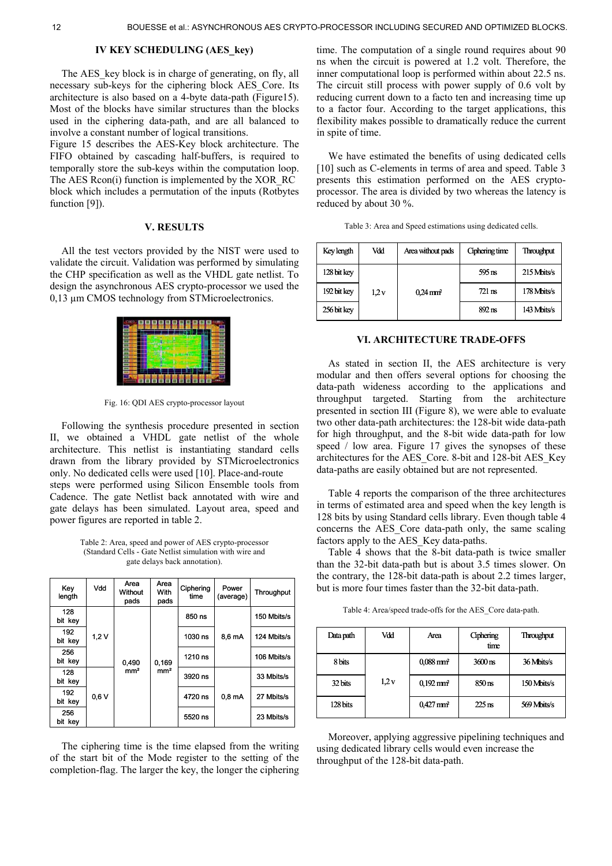# **IV KEY SCHEDULING (AES\_key)**

The AES key block is in charge of generating, on fly, all necessary sub-keys for the ciphering block AES\_Core. Its architecture is also based on a 4-byte data-path (Figure15). Most of the blocks have similar structures than the blocks used in the ciphering data-path, and are all balanced to involve a constant number of logical transitions.

Figure 15 describes the AES-Key block architecture. The FIFO obtained by cascading half-buffers, is required to temporally store the sub-keys within the computation loop. The AES Rcon(i) function is implemented by the XOR\_RC block which includes a permutation of the inputs (Rotbytes function [9]).

## **V. RESULTS**

All the test vectors provided by the NIST were used to validate the circuit. Validation was performed by simulating the CHP specification as well as the VHDL gate netlist. To design the asynchronous AES crypto-processor we used the 0,13 µm CMOS technology from STMicroelectronics.



Fig. 16: QDI AES crypto-processor layout

Following the synthesis procedure presented in section II, we obtained a VHDL gate netlist of the whole architecture. This netlist is instantiating standard cells drawn from the library provided by STMicroelectronics only. No dedicated cells were used [10]. Place-and-route steps were performed using Silicon Ensemble tools from Cadence. The gate Netlist back annotated with wire and gate delays has been simulated. Layout area, speed and power figures are reported in table 2.

Table 2: Area, speed and power of AES crypto-processor (Standard Cells - Gate Netlist simulation with wire and gate delays back annotation).

| Key<br>length  | Vdd  | Area<br>Without<br>pads | Area<br>With<br>pads | Ciphering<br>time | Power<br>(average) | Throughput  |
|----------------|------|-------------------------|----------------------|-------------------|--------------------|-------------|
| 128<br>bit kev |      |                         |                      | 850 ns            |                    | 150 Mbits/s |
| 192<br>bit kev | 1,2V |                         |                      | 1030 ns           | 8,6 mA             | 124 Mbits/s |
| 256<br>bit kev |      | 0,490                   | 0,169                | 1210 ns           |                    | 106 Mbits/s |
| 128<br>bit key |      | mm <sup>2</sup>         | mm <sup>2</sup>      | 3920 ns           |                    | 33 Mbits/s  |
| 192<br>bit kev | 0.6V |                         |                      | 4720 ns           | 0.8 <sub>m</sub> A | 27 Mbits/s  |
| 256<br>bit kev |      |                         |                      | 5520 ns           |                    | 23 Mbits/s  |

The ciphering time is the time elapsed from the writing of the start bit of the Mode register to the setting of the completion-flag. The larger the key, the longer the ciphering

time. The computation of a single round requires about 90 ns when the circuit is powered at 1.2 volt. Therefore, the inner computational loop is performed within about 22.5 ns. The circuit still process with power supply of 0.6 volt by reducing current down to a facto ten and increasing time up to a factor four. According to the target applications, this flexibility makes possible to dramatically reduce the current in spite of time.

We have estimated the benefits of using dedicated cells [10] such as C-elements in terms of area and speed. Table 3 presents this estimation performed on the AES cryptoprocessor. The area is divided by two whereas the latency is reduced by about 30 %.

| Table 3: Area and Speed estimations using dedicated cells. |  |  |
|------------------------------------------------------------|--|--|
|                                                            |  |  |

| Key length  | Vdd  | Area without pads      | Ciphering time   | <b>Throughput</b> |
|-------------|------|------------------------|------------------|-------------------|
| 128 bit key |      |                        | $595 \text{ ns}$ | 215 Mbits/s       |
| 192 bit key | 1.2v | $0.24 \,\mathrm{mm}^2$ | $721 \text{ ns}$ | 178 Mbits/s       |
| 256 bit key |      |                        | $892 \text{ ns}$ | 143 Mbits/s       |

#### **VI. ARCHITECTURE TRADE-OFFS**

As stated in section II, the AES architecture is very modular and then offers several options for choosing the data-path wideness according to the applications and throughput targeted. Starting from the architecture presented in section III (Figure 8), we were able to evaluate two other data-path architectures: the 128-bit wide data-path for high throughput, and the 8-bit wide data-path for low speed / low area. Figure 17 gives the synopses of these architectures for the AES\_Core. 8-bit and 128-bit AES\_Key data-paths are easily obtained but are not represented.

Table 4 reports the comparison of the three architectures in terms of estimated area and speed when the key length is 128 bits by using Standard cells library. Even though table 4 concerns the AES\_Core data-path only, the same scaling factors apply to the AES\_Key data-paths.

Table 4 shows that the 8-bit data-path is twice smaller than the 32-bit data-path but is about 3.5 times slower. On the contrary, the 128-bit data-path is about 2.2 times larger, but is more four times faster than the 32-bit data-path.

| Table 4: Area/speed trade-offs for the AES_Core data-path. |  |  |
|------------------------------------------------------------|--|--|
|                                                            |  |  |

| Data path | Vdd  | Area                    | Ciphering<br>time    | Throughput  |
|-----------|------|-------------------------|----------------------|-------------|
| 8 bits    |      | $0.088$ mm <sup>2</sup> | $3600 \,\mathrm{ns}$ | 36 Mbits/s  |
| 32 bits   | 1.2v | $0.192 \,\mathrm{mm}^2$ | $850 \text{ ns}$     | 150 Mbits/s |
| 128 bits  |      | $0,427$ mm <sup>2</sup> | $225$ ns             | 569 Mbits/s |

Moreover, applying aggressive pipelining techniques and using dedicated library cells would even increase the throughput of the 128-bit data-path.